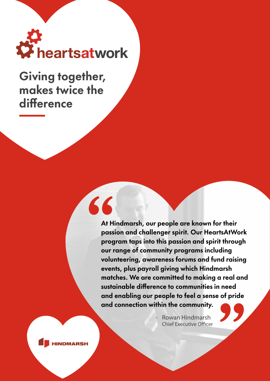

Giving together, makes twice the difference

 $\overline{\mathcal{L}}$ 

At Hindmarsh, our people are known for their passion and challenger spirit. Our HeartsAtWork program taps into this passion and spirit through our range of community programs including volunteering, awareness forums and fund raising events, plus payroll giving which Hindmarsh matches. We are committed to making a real and sustainable difference to communities in need and enabling our people to feel a sense of pride and connection within the community.

> Rowan Hindmarsh Chief Executive Officer

**INDMARSH**